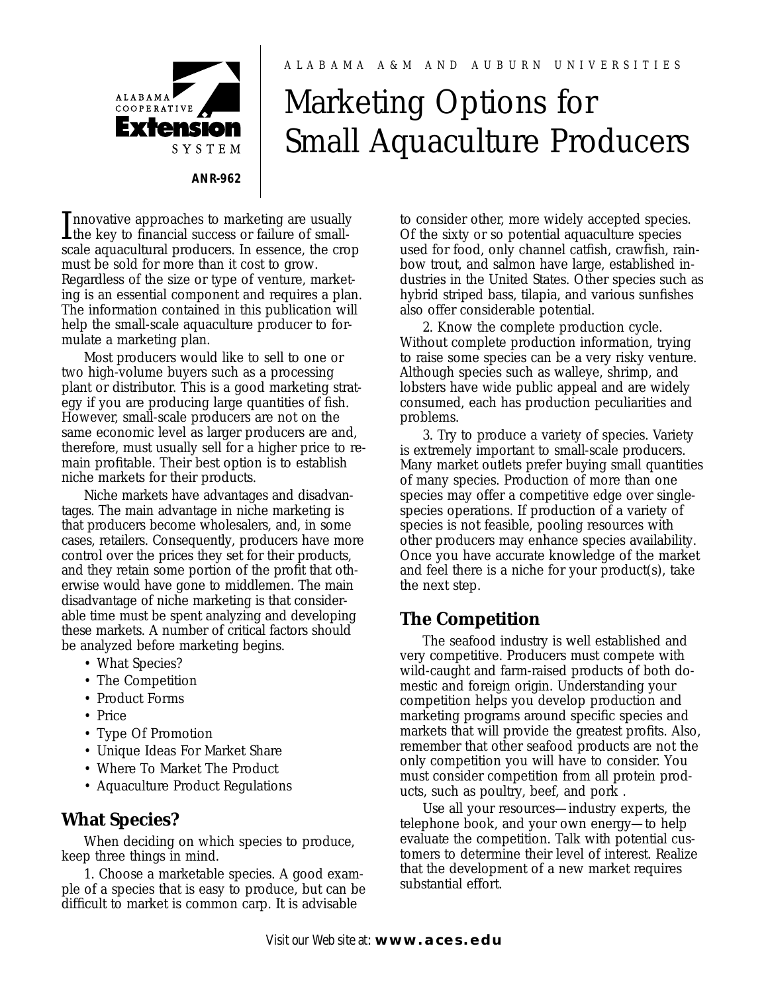#### ALABAMA A&M AND AUBURN UNIVERSITIES

## **ALABAMA COOPERATIVE** Extension SYSTEM **ANR-962**

# Marketing Options for Small Aquaculture Producers

Innovative approaches to marketing are usually<br>the key to financial success or failure of small-<br>colored a produced in a second the area the key to financial success or failure of smallscale aquacultural producers. In essence, the crop must be sold for more than it cost to grow. Regardless of the size or type of venture, marketing is an essential component and requires a plan. The information contained in this publication will help the small-scale aquaculture producer to formulate a marketing plan.

Most producers would like to sell to one or two high-volume buyers such as a processing plant or distributor. This is a good marketing strategy if you are producing large quantities of fish. However, small-scale producers are not on the same economic level as larger producers are and, therefore, must usually sell for a higher price to remain profitable. Their best option is to establish niche markets for their products.

Niche markets have advantages and disadvantages. The main advantage in niche marketing is that producers become wholesalers, and, in some cases, retailers. Consequently, producers have more control over the prices they set for their products, and they retain some portion of the profit that otherwise would have gone to middlemen. The main disadvantage of niche marketing is that considerable time must be spent analyzing and developing these markets. A number of critical factors should be analyzed before marketing begins.

- What Species?
- The Competition
- Product Forms
- Price
- Type Of Promotion
- Unique Ideas For Market Share
- Where To Market The Product
- Aquaculture Product Regulations

### **What Species?**

When deciding on which species to produce, keep three things in mind.

1. Choose a marketable species. A good example of a species that is easy to produce, but can be difficult to market is common carp. It is advisable

to consider other, more widely accepted species. Of the sixty or so potential aquaculture species used for food, only channel catfish, crawfish, rainbow trout, and salmon have large, established industries in the United States. Other species such as hybrid striped bass, tilapia, and various sunfishes also offer considerable potential.

2. Know the complete production cycle. Without complete production information, trying to raise some species can be a very risky venture. Although species such as walleye, shrimp, and lobsters have wide public appeal and are widely consumed, each has production peculiarities and problems.

3. Try to produce a variety of species. Variety is extremely important to small-scale producers. Many market outlets prefer buying small quantities of many species. Production of more than one species may offer a competitive edge over singlespecies operations. If production of a variety of species is not feasible, pooling resources with other producers may enhance species availability. Once you have accurate knowledge of the market and feel there is a niche for your product(s), take the next step.

## **The Competition**

The seafood industry is well established and very competitive. Producers must compete with wild-caught and farm-raised products of both domestic and foreign origin. Understanding your competition helps you develop production and marketing programs around specific species and markets that will provide the greatest profits. Also, remember that other seafood products are not the only competition you will have to consider. You must consider competition from all protein products, such as poultry, beef, and pork .

Use all your resources—industry experts, the telephone book, and your own energy—to help evaluate the competition. Talk with potential customers to determine their level of interest. Realize that the development of a new market requires substantial effort.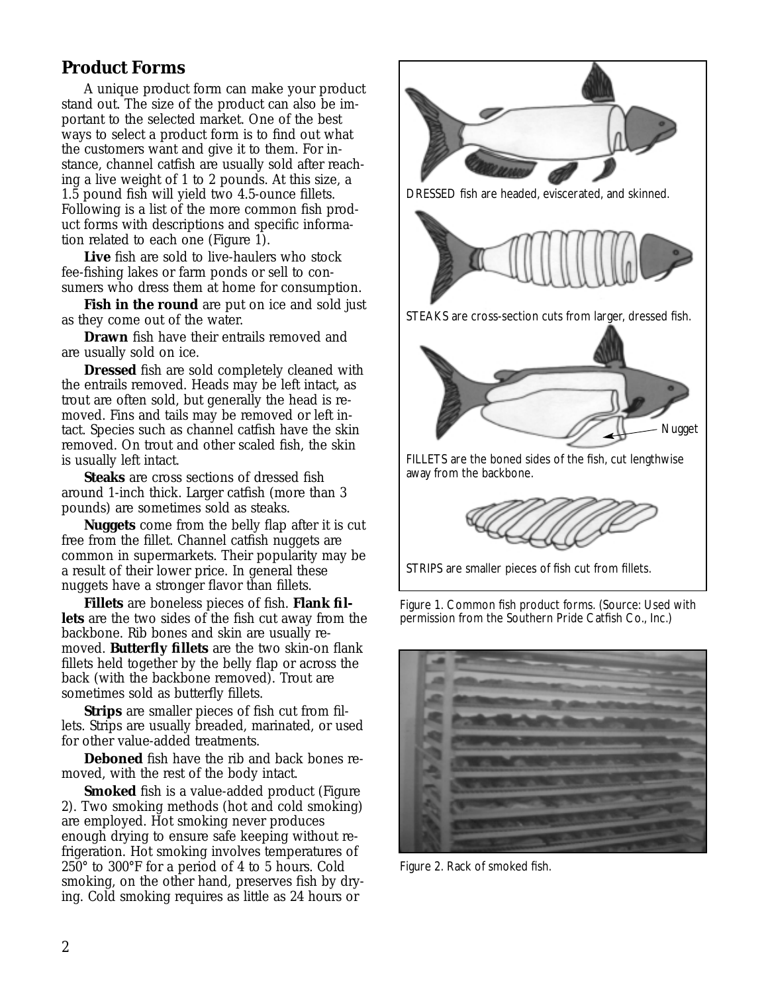## **Product Forms**

A unique product form can make your product stand out. The size of the product can also be important to the selected market. One of the best ways to select a product form is to find out what the customers want and give it to them. For instance, channel catfish are usually sold after reaching a live weight of 1 to 2 pounds. At this size, a 1.5 pound fish will yield two 4.5-ounce fillets. Following is a list of the more common fish product forms with descriptions and specific information related to each one (Figure 1).

**Live** fish are sold to live-haulers who stock fee-fishing lakes or farm ponds or sell to consumers who dress them at home for consumption.

**Fish in the round** are put on ice and sold just as they come out of the water.

**Drawn** fish have their entrails removed and are usually sold on ice.

**Dressed** fish are sold completely cleaned with the entrails removed. Heads may be left intact, as trout are often sold, but generally the head is removed. Fins and tails may be removed or left intact. Species such as channel catfish have the skin removed. On trout and other scaled fish, the skin is usually left intact.

**Steaks** are cross sections of dressed fish around 1-inch thick. Larger catfish (more than 3 pounds) are sometimes sold as steaks.

**Nuggets** come from the belly flap after it is cut free from the fillet. Channel catfish nuggets are common in supermarkets. Their popularity may be a result of their lower price. In general these nuggets have a stronger flavor than fillets.

**Fillets** are boneless pieces of fish. **Flank fillets** are the two sides of the fish cut away from the backbone. Rib bones and skin are usually removed. **Butterfly fillets** are the two skin-on flank fillets held together by the belly flap or across the back (with the backbone removed). Trout are sometimes sold as butterfly fillets.

**Strips** are smaller pieces of fish cut from fillets. Strips are usually breaded, marinated, or used for other value-added treatments.

**Deboned** fish have the rib and back bones removed, with the rest of the body intact.

**Smoked** fish is a value-added product (Figure 2). Two smoking methods (hot and cold smoking) are employed. Hot smoking never produces enough drying to ensure safe keeping without refrigeration. Hot smoking involves temperatures of 250° to 300°F for a period of 4 to 5 hours. Cold smoking, on the other hand, preserves fish by drying. Cold smoking requires as little as 24 hours or





Figure 2. Rack of smoked fish.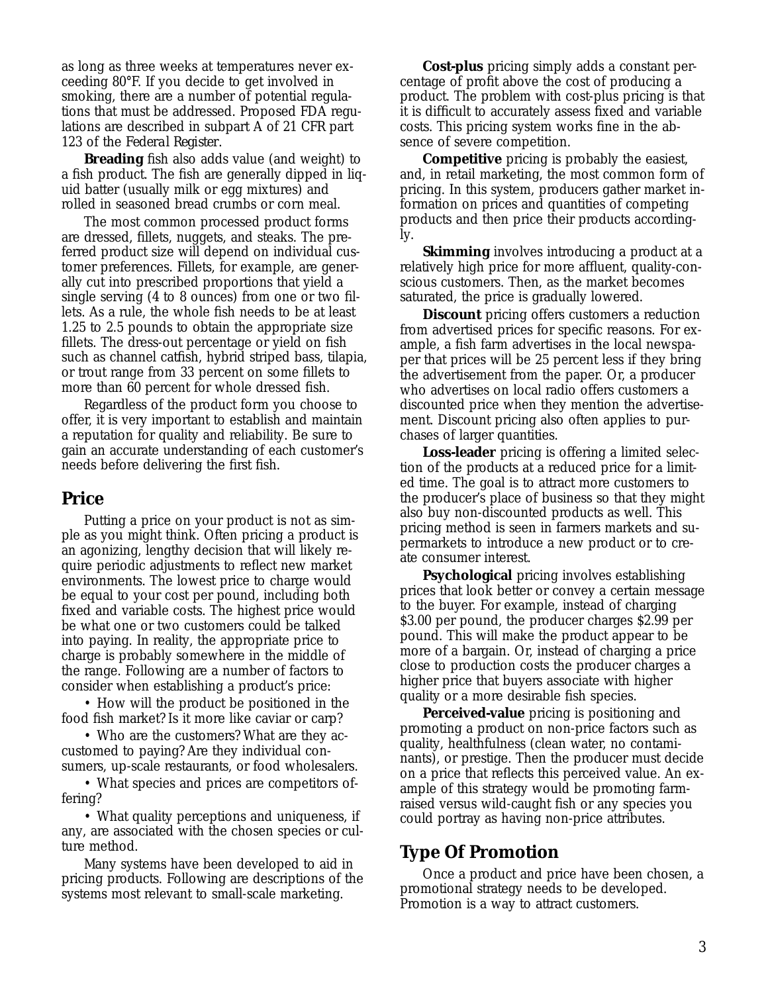as long as three weeks at temperatures never exceeding 80°F. If you decide to get involved in smoking, there are a number of potential regulations that must be addressed. Proposed FDA regulations are described in subpart A of 21 CFR part 123 of the *Federal Register*.

**Breading** fish also adds value (and weight) to a fish product. The fish are generally dipped in liquid batter (usually milk or egg mixtures) and rolled in seasoned bread crumbs or corn meal.

The most common processed product forms are dressed, fillets, nuggets, and steaks. The preferred product size will depend on individual customer preferences. Fillets, for example, are generally cut into prescribed proportions that yield a single serving (4 to 8 ounces) from one or two fillets. As a rule, the whole fish needs to be at least 1.25 to 2.5 pounds to obtain the appropriate size fillets. The dress-out percentage or yield on fish such as channel catfish, hybrid striped bass, tilapia, or trout range from 33 percent on some fillets to more than 60 percent for whole dressed fish.

Regardless of the product form you choose to offer, it is very important to establish and maintain a reputation for quality and reliability. Be sure to gain an accurate understanding of each customer's needs before delivering the first fish.

#### **Price**

Putting a price on your product is not as simple as you might think. Often pricing a product is an agonizing, lengthy decision that will likely require periodic adjustments to reflect new market environments. The lowest price to charge would be equal to your cost per pound, including both fixed and variable costs. The highest price would be what one or two customers could be talked into paying. In reality, the appropriate price to charge is probably somewhere in the middle of the range. Following are a number of factors to consider when establishing a product's price:

• How will the product be positioned in the food fish market? Is it more like caviar or carp?

• Who are the customers? What are they accustomed to paying? Are they individual consumers, up-scale restaurants, or food wholesalers.

• What species and prices are competitors offering?

• What quality perceptions and uniqueness, if any, are associated with the chosen species or culture method.

Many systems have been developed to aid in pricing products. Following are descriptions of the systems most relevant to small-scale marketing.

**Cost-plus** pricing simply adds a constant percentage of profit above the cost of producing a product. The problem with cost-plus pricing is that it is difficult to accurately assess fixed and variable costs. This pricing system works fine in the absence of severe competition.

**Competitive** pricing is probably the easiest, and, in retail marketing, the most common form of pricing. In this system, producers gather market information on prices and quantities of competing products and then price their products accordingly.

**Skimming** involves introducing a product at a relatively high price for more affluent, quality-conscious customers. Then, as the market becomes saturated, the price is gradually lowered.

**Discount** pricing offers customers a reduction from advertised prices for specific reasons. For example, a fish farm advertises in the local newspaper that prices will be 25 percent less if they bring the advertisement from the paper. Or, a producer who advertises on local radio offers customers a discounted price when they mention the advertisement. Discount pricing also often applies to purchases of larger quantities.

**Loss-leader** pricing is offering a limited selection of the products at a reduced price for a limited time. The goal is to attract more customers to the producer's place of business so that they might also buy non-discounted products as well. This pricing method is seen in farmers markets and supermarkets to introduce a new product or to create consumer interest.

**Psychological** pricing involves establishing prices that look better or convey a certain message to the buyer. For example, instead of charging \$3.00 per pound, the producer charges \$2.99 per pound. This will make the product appear to be more of a bargain. Or, instead of charging a price close to production costs the producer charges a higher price that buyers associate with higher quality or a more desirable fish species.

**Perceived-value** pricing is positioning and promoting a product on non-price factors such as quality, healthfulness (clean water, no contaminants), or prestige. Then the producer must decide on a price that reflects this perceived value. An example of this strategy would be promoting farmraised versus wild-caught fish or any species you could portray as having non-price attributes.

#### **Type Of Promotion**

Once a product and price have been chosen, a promotional strategy needs to be developed. Promotion is a way to attract customers.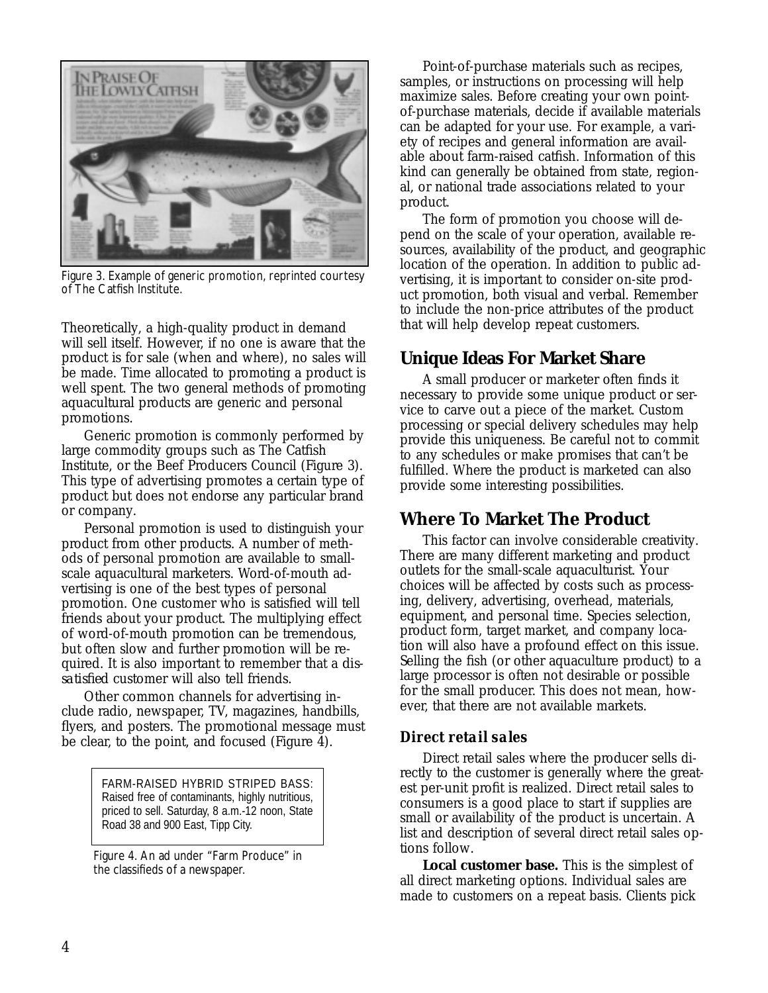

Figure 3. Example of generic promotion, reprinted courtesy of The Catfish Institute.

Theoretically, a high-quality product in demand will sell itself. However, if no one is aware that the product is for sale (when and where), no sales will be made. Time allocated to promoting a product is well spent. The two general methods of promoting aquacultural products are generic and personal promotions.

Generic promotion is commonly performed by large commodity groups such as The Catfish Institute, or the Beef Producers Council (Figure 3). This type of advertising promotes a certain type of product but does not endorse any particular brand or company.

Personal promotion is used to distinguish your product from other products. A number of methods of personal promotion are available to smallscale aquacultural marketers. Word-of-mouth advertising is one of the best types of personal promotion. One customer who is satisfied will tell friends about your product. The multiplying effect of word-of-mouth promotion can be tremendous, but often slow and further promotion will be required. It is also important to remember that a *dissatisfied* customer will also tell friends.

Other common channels for advertising include radio, newspaper, TV, magazines, handbills, flyers, and posters. The promotional message must be clear, to the point, and focused (Figure 4).

> FARM-RAISED HYBRID STRIPED BASS: Raised free of contaminants, highly nutritious, priced to sell. Saturday, 8 a.m.-12 noon, State Road 38 and 900 East, Tipp City.

Figure 4. An ad under "Farm Produce" in the classifieds of a newspaper.

Point-of-purchase materials such as recipes, samples, or instructions on processing will help maximize sales. Before creating your own pointof-purchase materials, decide if available materials can be adapted for your use. For example, a variety of recipes and general information are available about farm-raised catfish. Information of this kind can generally be obtained from state, regional, or national trade associations related to your product.

The form of promotion you choose will depend on the scale of your operation, available resources, availability of the product, and geographic location of the operation. In addition to public advertising, it is important to consider on-site product promotion, both visual and verbal. Remember to include the non-price attributes of the product that will help develop repeat customers.

## **Unique Ideas For Market Share**

A small producer or marketer often finds it necessary to provide some unique product or service to carve out a piece of the market. Custom processing or special delivery schedules may help provide this uniqueness. Be careful not to commit to any schedules or make promises that can't be fulfilled. Where the product is marketed can also provide some interesting possibilities.

## **Where To Market The Product**

This factor can involve considerable creativity. There are many different marketing and product outlets for the small-scale aquaculturist. Your choices will be affected by costs such as processing, delivery, advertising, overhead, materials, equipment, and personal time. Species selection, product form, target market, and company location will also have a profound effect on this issue. Selling the fish (or other aquaculture product) to a large processor is often not desirable or possible for the small producer. This does not mean, however, that there are not available markets.

#### *Direct retail sales*

Direct retail sales where the producer sells directly to the customer is generally where the greatest per-unit profit is realized. Direct retail sales to consumers is a good place to start if supplies are small or availability of the product is uncertain. A list and description of several direct retail sales options follow.

**Local customer base.** This is the simplest of all direct marketing options. Individual sales are made to customers on a repeat basis. Clients pick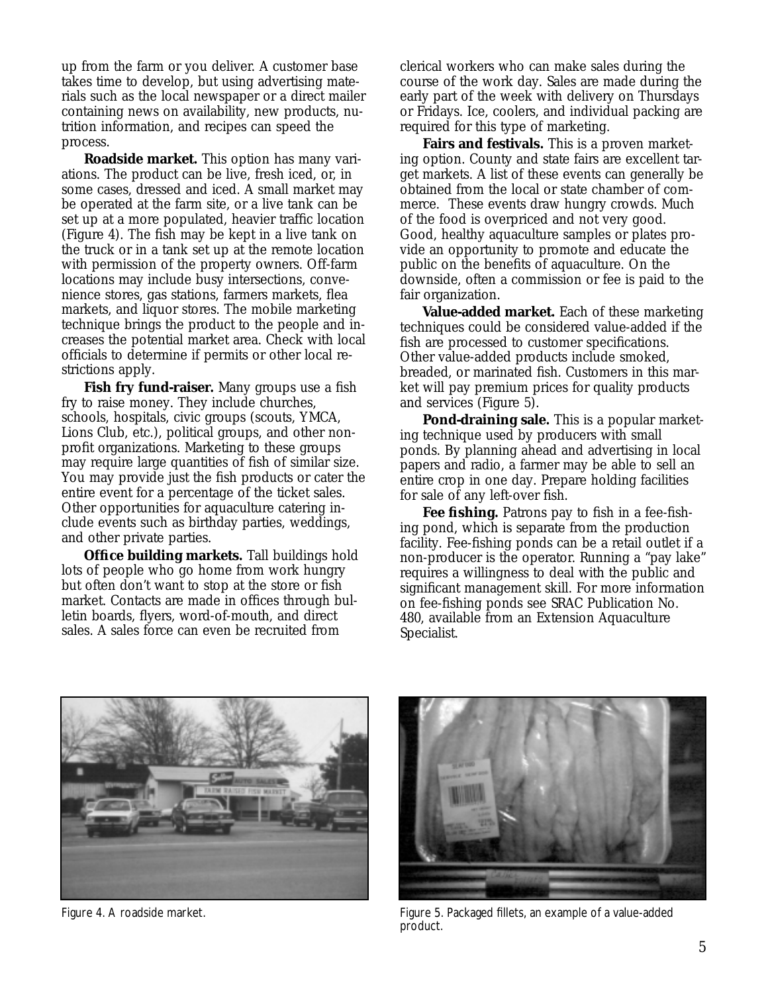up from the farm or you deliver. A customer base takes time to develop, but using advertising materials such as the local newspaper or a direct mailer containing news on availability, new products, nutrition information, and recipes can speed the process.

**Roadside market.** This option has many variations. The product can be live, fresh iced, or, in some cases, dressed and iced. A small market may be operated at the farm site, or a live tank can be set up at a more populated, heavier traffic location (Figure 4). The fish may be kept in a live tank on the truck or in a tank set up at the remote location with permission of the property owners. Off-farm locations may include busy intersections, convenience stores, gas stations, farmers markets, flea markets, and liquor stores. The mobile marketing technique brings the product to the people and increases the potential market area. Check with local officials to determine if permits or other local restrictions apply.

**Fish fry fund-raiser.** Many groups use a fish fry to raise money. They include churches, schools, hospitals, civic groups (scouts, YMCA, Lions Club, etc.), political groups, and other nonprofit organizations. Marketing to these groups may require large quantities of fish of similar size. You may provide just the fish products or cater the entire event for a percentage of the ticket sales. Other opportunities for aquaculture catering include events such as birthday parties, weddings, and other private parties.

**Office building markets.** Tall buildings hold lots of people who go home from work hungry but often don't want to stop at the store or fish market. Contacts are made in offices through bulletin boards, flyers, word-of-mouth, and direct sales. A sales force can even be recruited from

clerical workers who can make sales during the course of the work day. Sales are made during the early part of the week with delivery on Thursdays or Fridays. Ice, coolers, and individual packing are required for this type of marketing.

**Fairs and festivals.** This is a proven marketing option. County and state fairs are excellent target markets. A list of these events can generally be obtained from the local or state chamber of commerce. These events draw hungry crowds. Much of the food is overpriced and not very good. Good, healthy aquaculture samples or plates provide an opportunity to promote and educate the public on the benefits of aquaculture. On the downside, often a commission or fee is paid to the fair organization.

**Value-added market.** Each of these marketing techniques could be considered value-added if the fish are processed to customer specifications. Other value-added products include smoked, breaded, or marinated fish. Customers in this market will pay premium prices for quality products and services (Figure 5).

**Pond-draining sale.** This is a popular marketing technique used by producers with small ponds. By planning ahead and advertising in local papers and radio, a farmer may be able to sell an entire crop in one day. Prepare holding facilities for sale of any left-over fish.

**Fee fishing.** Patrons pay to fish in a fee-fishing pond, which is separate from the production facility. Fee-fishing ponds can be a retail outlet if a non-producer is the operator. Running a "pay lake" requires a willingness to deal with the public and significant management skill. For more information on fee-fishing ponds see SRAC Publication No. 480, available from an Extension Aquaculture Specialist.





Figure 4. A roadside market. The state of a value-added fillets, an example of a value-added product.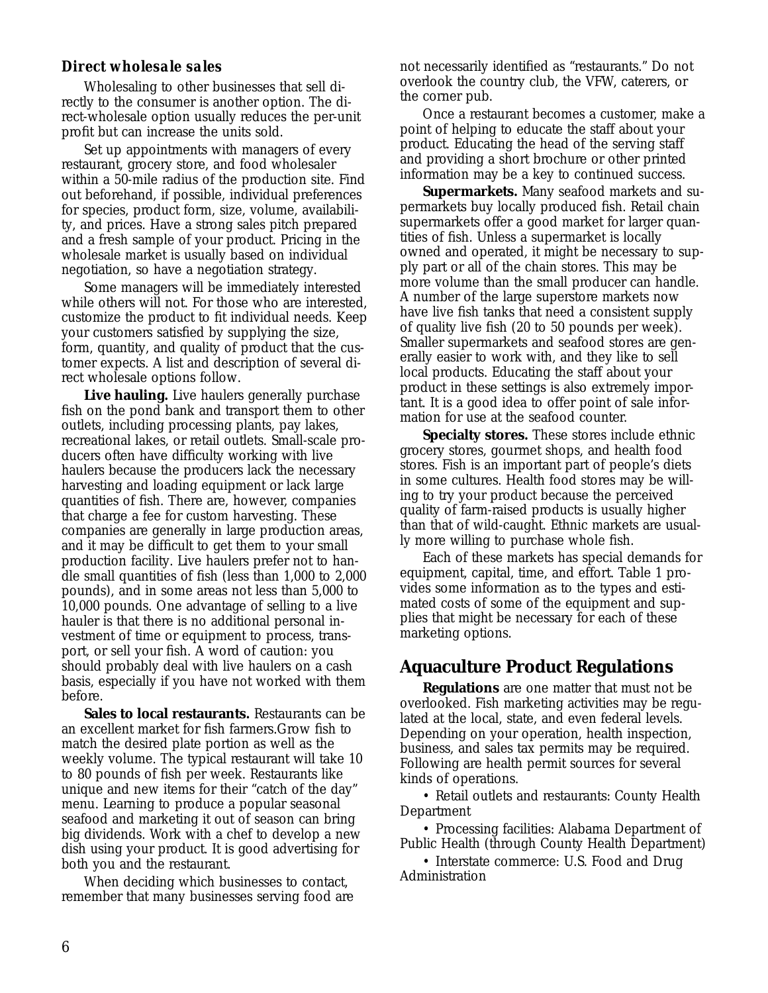#### *Direct wholesale sales*

Wholesaling to other businesses that sell directly to the consumer is another option. The direct-wholesale option usually reduces the per-unit profit but can increase the units sold.

Set up appointments with managers of every restaurant, grocery store, and food wholesaler within a 50-mile radius of the production site. Find out beforehand, if possible, individual preferences for species, product form, size, volume, availability, and prices. Have a strong sales pitch prepared and a fresh sample of your product. Pricing in the wholesale market is usually based on individual negotiation, so have a negotiation strategy.

Some managers will be immediately interested while others will not. For those who are interested, customize the product to fit individual needs. Keep your customers satisfied by supplying the size, form, quantity, and quality of product that the customer expects. A list and description of several direct wholesale options follow.

**Live hauling.** Live haulers generally purchase fish on the pond bank and transport them to other outlets, including processing plants, pay lakes, recreational lakes, or retail outlets. Small-scale producers often have difficulty working with live haulers because the producers lack the necessary harvesting and loading equipment or lack large quantities of fish. There are, however, companies that charge a fee for custom harvesting. These companies are generally in large production areas, and it may be difficult to get them to your small production facility. Live haulers prefer not to handle small quantities of fish (less than 1,000 to 2,000 pounds), and in some areas not less than 5,000 to 10,000 pounds. One advantage of selling to a live hauler is that there is no additional personal investment of time or equipment to process, transport, or sell your fish. A word of caution: you should probably deal with live haulers on a cash basis, especially if you have not worked with them before.

**Sales to local restaurants.** Restaurants can be an excellent market for fish farmers.Grow fish to match the desired plate portion as well as the weekly volume. The typical restaurant will take 10 to 80 pounds of fish per week. Restaurants like unique and new items for their "catch of the day" menu. Learning to produce a popular seasonal seafood and marketing it out of season can bring big dividends. Work with a chef to develop a new dish using your product. It is good advertising for both you and the restaurant.

When deciding which businesses to contact, remember that many businesses serving food are not necessarily identified as "restaurants." Do not overlook the country club, the VFW, caterers, or the corner pub.

Once a restaurant becomes a customer, make a point of helping to educate the staff about your product. Educating the head of the serving staff and providing a short brochure or other printed information may be a key to continued success.

**Supermarkets.** Many seafood markets and supermarkets buy locally produced fish. Retail chain supermarkets offer a good market for larger quantities of fish. Unless a supermarket is locally owned and operated, it might be necessary to supply part or all of the chain stores. This may be more volume than the small producer can handle. A number of the large superstore markets now have live fish tanks that need a consistent supply of quality live fish (20 to 50 pounds per week). Smaller supermarkets and seafood stores are generally easier to work with, and they like to sell local products. Educating the staff about your product in these settings is also extremely important. It is a good idea to offer point of sale information for use at the seafood counter.

**Specialty stores.** These stores include ethnic grocery stores, gourmet shops, and health food stores. Fish is an important part of people's diets in some cultures. Health food stores may be willing to try your product because the perceived quality of farm-raised products is usually higher than that of wild-caught. Ethnic markets are usually more willing to purchase whole fish.

Each of these markets has special demands for equipment, capital, time, and effort. Table 1 provides some information as to the types and estimated costs of some of the equipment and supplies that might be necessary for each of these marketing options.

## **Aquaculture Product Regulations**

**Regulations** are one matter that must not be overlooked. Fish marketing activities may be regulated at the local, state, and even federal levels. Depending on your operation, health inspection, business, and sales tax permits may be required. Following are health permit sources for several kinds of operations.

• Retail outlets and restaurants: County Health Department

• Processing facilities: Alabama Department of Public Health (through County Health Department)

• Interstate commerce: U.S. Food and Drug Administration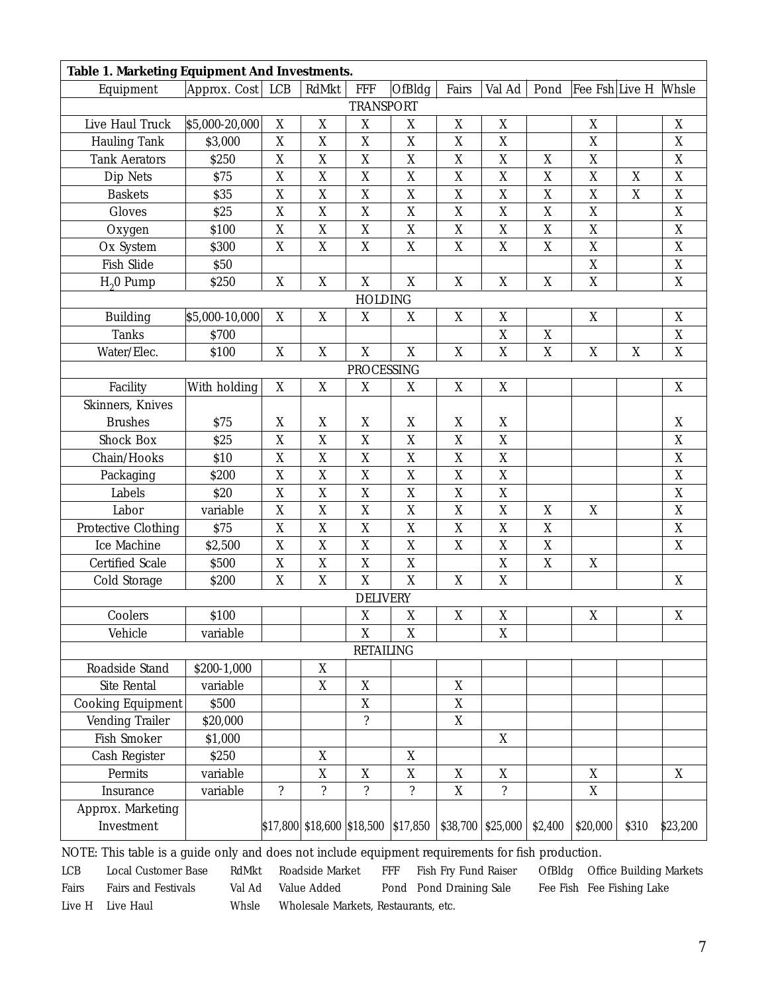| Table 1. Marketing Equipment And Investments. |                |                  |                               |                           |                           |                  |                          |                  |                |       |                  |
|-----------------------------------------------|----------------|------------------|-------------------------------|---------------------------|---------------------------|------------------|--------------------------|------------------|----------------|-------|------------------|
| Equipment                                     | Approx. Cost   | <b>LCB</b>       | RdMkt                         | <b>FFF</b>                | OfBldg                    | Fairs            | Val Ad                   | Pond             | Fee Fsh Live H |       | Whsle            |
| <b>TRANSPORT</b>                              |                |                  |                               |                           |                           |                  |                          |                  |                |       |                  |
| Live Haul Truck                               | \$5,000-20,000 | $\boldsymbol{X}$ | X                             | X                         | X                         | $\mathbf X$      | $\boldsymbol{X}$         |                  | X              |       | X                |
| <b>Hauling Tank</b>                           | \$3,000        | $\mathbf X$      | X                             | X                         | $\overline{X}$            | $\mathbf X$      | $\overline{X}$           |                  | $\overline{X}$ |       | $\overline{X}$   |
| <b>Tank Aerators</b>                          | \$250          | $\boldsymbol{X}$ | X                             | $\boldsymbol{X}$          | $\boldsymbol{X}$          | $\mathbf X$      | X                        | $\mathbf X$      | $\mathbf X$    |       | $\mathbf X$      |
| Dip Nets                                      | \$75           | $\boldsymbol{X}$ | X                             | $\mathbf X$               | $\mathbf X$               | $\boldsymbol{X}$ | $\mathbf X$              | $\boldsymbol{X}$ | $\mathbf X$    | X     | $\overline{X}$   |
| <b>Baskets</b>                                | \$35           | $\boldsymbol{X}$ | X                             | X                         | $\boldsymbol{X}$          | $\boldsymbol{X}$ | $\mathbf X$              | $\boldsymbol{X}$ | $\mathbf X$    | X     | $\mathbf X$      |
| Gloves                                        | \$25           | $\boldsymbol{X}$ | X                             | $\boldsymbol{X}$          | $\mathbf X$               | X                | X                        | $\mathbf X$      | $\mathbf X$    |       | $\mathbf X$      |
| Oxygen                                        | \$100          | $\mathbf X$      | X                             | X                         | $\mathbf X$               | $\mathbf X$      | $\overline{X}$           | $\mathbf{X}$     | $\mathbf{X}$   |       | $\overline{X}$   |
| Ox System                                     | \$300          | X                | $\overline{X}$                | X                         | X                         | $\boldsymbol{X}$ | $\overline{X}$           | X                | $\mathbf X$    |       | $\mathbf X$      |
| Fish Slide                                    | \$50           |                  |                               |                           |                           |                  |                          |                  | $\mathbf X$    |       | $\mathbf X$      |
| $H20$ Pump                                    | \$250          | $\boldsymbol{X}$ | $\mathbf{X}$                  | X                         | $\overline{X}$            | X                | $\boldsymbol{X}$         | $\mathbf X$      | $\mathbf{X}$   |       | $\mathbf X$      |
| <b>HOLDING</b>                                |                |                  |                               |                           |                           |                  |                          |                  |                |       |                  |
| <b>Building</b>                               | \$5,000-10,000 | X                | $\mathbf X$                   | $\mathbf X$               | $\mathbf X$               | X                | $\mathbf X$              |                  | $\mathbf X$    |       | X                |
| <b>Tanks</b>                                  | \$700          |                  |                               |                           |                           |                  | $\overline{X}$           | $\mathbf X$      |                |       | $\mathbf X$      |
| Water/Elec.                                   | \$100          | $\boldsymbol{X}$ | $\mathbf X$                   | X                         | $\mathbf X$               | $\mathbf X$      | $\boldsymbol{X}$         | $\mathbf X$      | $\mathbf X$    | X     | $\boldsymbol{X}$ |
| <b>PROCESSING</b>                             |                |                  |                               |                           |                           |                  |                          |                  |                |       |                  |
| Facility                                      | With holding   | $\mathbf X$      | X                             | $\boldsymbol{X}$          | X                         | X                | X                        |                  |                |       | X                |
| Skinners, Knives                              |                |                  |                               |                           |                           |                  |                          |                  |                |       |                  |
| <b>Brushes</b>                                | \$75           | $\mathbf X$      | $\mathbf X$                   | X                         | $\boldsymbol{\mathrm{X}}$ | X                | X                        |                  |                |       | $\mathbf X$      |
| <b>Shock Box</b>                              | \$25           | $\mathbf X$      | X                             | X                         | X                         | $\overline{X}$   | $\overline{X}$           |                  |                |       | $\overline{X}$   |
| Chain/Hooks                                   | \$10           | $\boldsymbol{X}$ | X                             | X                         | $\mathbf X$               | $\mathbf X$      | $\mathbf X$              |                  |                |       | $\mathbf X$      |
| Packaging                                     | \$200          | $\mathbf X$      | X                             | $\mathbf X$               | $\mathbf X$               | X                | $\mathbf X$              |                  |                |       | $\mathbf X$      |
| Labels                                        | \$20           | $\boldsymbol{X}$ | X                             | X                         | $\mathbf X$               | $\overline{X}$   | $\overline{X}$           |                  |                |       | $\overline{X}$   |
| Labor                                         | variable       | $\boldsymbol{X}$ | $\mathbf X$                   | X                         | $\mathbf X$               | $\mathbf X$      | $\boldsymbol{X}$         | $\boldsymbol{X}$ | $\mathbf X$    |       | $\mathbf X$      |
| Protective Clothing                           | \$75           | $\mathbf X$      | $\mathbf X$                   | $\mathbf X$               | $\mathbf X$               | $\mathbf X$      | $\mathbf X$              | X                |                |       | $\mathbf X$      |
| Ice Machine                                   | \$2,500        | $\mathbf X$      | X                             | X                         | $\mathbf X$               | $\boldsymbol{X}$ | $\overline{X}$           | $\mathbf X$      |                |       | X                |
| <b>Certified Scale</b>                        | \$500          | $\boldsymbol{X}$ | X                             | X                         | X                         |                  | $\mathbf X$              | $\mathbf X$      | $\mathbf X$    |       |                  |
| Cold Storage                                  | \$200          | $\mathbf X$      | X                             | X                         | $\boldsymbol{X}$          | X                | $\boldsymbol{X}$         |                  |                |       | $\mathbf X$      |
| <b>DELIVERY</b>                               |                |                  |                               |                           |                           |                  |                          |                  |                |       |                  |
| Coolers                                       | \$100          |                  |                               | $\mathbf X$               | $\boldsymbol{X}$          | $\mathbf X$      | $\mathbf X$              |                  | $\mathbf X$    |       | $\mathbf X$      |
| Vehicle                                       | variable       |                  |                               | $\mathbf X$               | X                         |                  | X                        |                  |                |       |                  |
| <b>RETAILING</b>                              |                |                  |                               |                           |                           |                  |                          |                  |                |       |                  |
| Roadside Stand                                | \$200-1,000    |                  | X                             |                           |                           |                  |                          |                  |                |       |                  |
| Site Rental                                   | variable       |                  | X                             | $\mathbf X$               |                           | X                |                          |                  |                |       |                  |
| <b>Cooking Equipment</b>                      | \$500          |                  |                               | $\mathbf{X}$              |                           | $\mathbf{X}$     |                          |                  |                |       |                  |
| Vending Trailer                               | \$20,000       |                  |                               | $\overline{\mathcal{L}}$  |                           | $\mathbf X$      |                          |                  |                |       |                  |
| Fish Smoker                                   | \$1,000        |                  |                               |                           |                           |                  | $\mathbf X$              |                  |                |       |                  |
| Cash Register                                 | \$250          |                  | X                             |                           | X                         |                  |                          |                  |                |       |                  |
| Permits                                       | variable       |                  | $\mathbf X$                   | $\mathbf{X}$              | $\mathbf X$               | X                | X                        |                  | $\mathbf X$    |       | X                |
| Insurance                                     | variable       | $\ddot{?}$       | $\ddot{?}$                    | $\overline{\mathfrak{c}}$ | $\overline{\mathcal{L}}$  | X                | $\overline{\mathcal{E}}$ |                  | $\mathbf X$    |       |                  |
| Approx. Marketing                             |                |                  |                               |                           |                           |                  |                          |                  |                |       |                  |
| Investment                                    |                |                  | $$17,800$ $$18,600$ $$18,500$ |                           | \$17,850                  | \$38,700         | \$25,000                 | \$2,400          | \$20,000       | \$310 | \$23,200         |

NOTE: This table is a guide only and does not include equipment requirements for fish production.

LCB Local Customer Base RdMkt Roadside Market FFF Fish Fry Fund Raiser OfBldg Office Building Markets Fairs Fairs and Festivals Val Ad Value Added Pond Pond Draining Sale Fee Fish Fee Fishing Lake Live H Live Haul Whsle Wholesale Markets, Restaurants, etc.